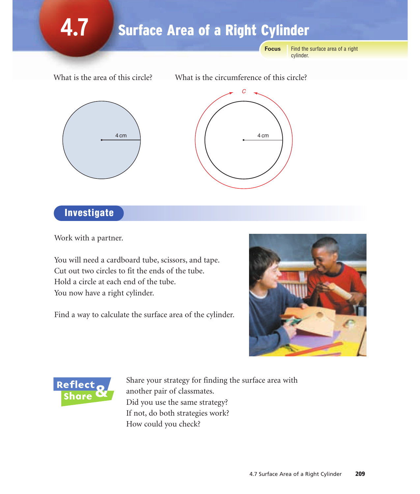#### **4.7** Find the surface area of a right **Focus** Surface Area of a Right Cylinder

What is the area of this circle? What is the circumference of this circle?

cylinder.





## **Investigate**

Work with a partner.

You will need a cardboard tube, scissors, and tape. Cut out two circles to fit the ends of the tube. Hold a circle at each end of the tube. You now have a right cylinder.

Find a way to calculate the surface area of the cylinder.





Share your strategy for finding the surface area with another pair of classmates. Did you use the same strategy? If not, do both strategies work? How could you check?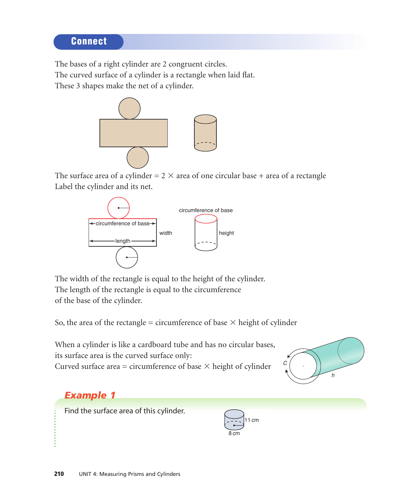#### **Connect**

The bases of a right cylinder are 2 congruent circles.

The curved surface of a cylinder is a rectangle when laid flat.

These 3 shapes make the net of a cylinder.



The surface area of a cylinder =  $2 \times$  area of one circular base + area of a rectangle Label the cylinder and its net.



The width of the rectangle is equal to the height of the cylinder. The length of the rectangle is equal to the circumference of the base of the cylinder.

So, the area of the rectangle = circumference of base  $\times$  height of cylinder

When a cylinder is like a cardboard tube and has no circular bases, its surface area is the curved surface only: Curved surface area = circumference of base  $\times$  height of cylinder



### *Example 1*

Find the surface area of this cylinder.

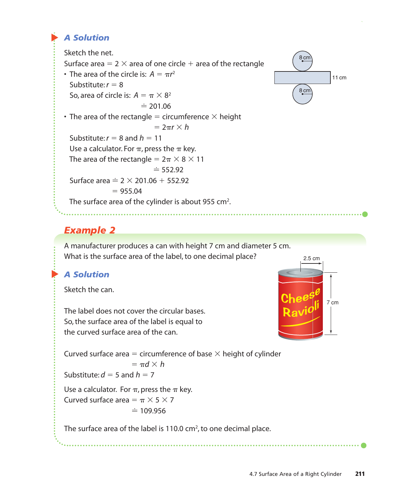#### ▲ *A Solution*

Sketch the net.

Surface area =  $2 \times$  area of one circle  $+$  area of the rectangle

• The area of the circle is:  $A = \pi r^2$ Substitute:  $r = 8$ So, area of circle is:  $A = \pi \times 8^2$  $\dot{=} 201.06$ • The area of the rectangle = circumference  $\times$  height  $= 2\pi r \times h$ Substitute:  $r = 8$  and  $h = 11$ Use a calculator. For  $\pi$ , press the  $\pi$  key. The area of the rectangle =  $2\pi \times 8 \times 11$  $\dot{=} 552.92$ Surface area  $\dot{=} 2 \times 201.06 + 552.92$  $= 955.04$ The surface area of the cylinder is about 955 cm<sup>2</sup>.



#### *Example 2*

A manufacturer produces a can with height 7 cm and diameter 5 cm. What is the surface area of the label, to one decimal place?

#### ▲ *A Solution*

Sketch the can.

The label does not cover the circular bases. So, the surface area of the label is equal to the curved surface area of the can.



Curved surface area  $=$  circumference of base  $\times$  height of cylinder

$$
= \pi d \times h
$$
  
Substitute:  $d = 5$  and  $h = 7$ 

Use a calculator. For  $\pi$ , press the  $\pi$  key.

Curved surface area  $= \pi \times 5 \times 7$  $\dot{=} 109.956$ 

The surface area of the label is 110.0 cm<sup>2</sup>, to one decimal place.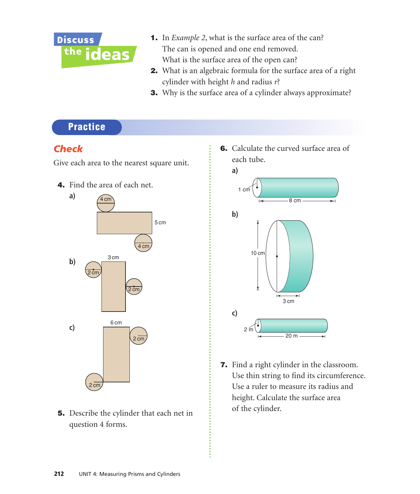

- 1. In *Example 2*, what is the surface area of the can? The can is opened and one end removed. What is the surface area of the open can?
- **2.** What is an algebraic formula for the surface area of a right cylinder with height *h* and radius *r*?
- 3. Why is the surface area of a cylinder always approximate?

#### **Practice**

#### *Check*

Give each area to the nearest square unit.

4. Find the area of each net.



5. Describe the cylinder that each net in question 4 forms.

6. Calculate the curved surface area of each tube.



7. Find a right cylinder in the classroom. Use thin string to find its circumference. Use a ruler to measure its radius and height. Calculate the surface area of the cylinder.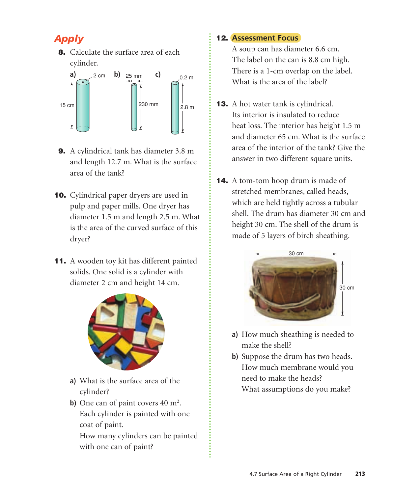## *Apply*

**8.** Calculate the surface area of each cylinder.



- 9. A cylindrical tank has diameter 3.8 m and length 12.7 m. What is the surface area of the tank?
- 10. Cylindrical paper dryers are used in pulp and paper mills. One dryer has diameter 1.5 m and length 2.5 m. What is the area of the curved surface of this dryer?
- 11. A wooden toy kit has different painted solids. One solid is a cylinder with diameter 2 cm and height 14 cm.



- **a)** What is the surface area of the cylinder?
- **b**) One can of paint covers 40 m<sup>2</sup>. Each cylinder is painted with one coat of paint.

How many cylinders can be painted with one can of paint?

#### 12. **Assessment Focus**

A soup can has diameter 6.6 cm. The label on the can is 8.8 cm high. There is a 1-cm overlap on the label. What is the area of the label?

- **13.** A hot water tank is cylindrical. Its interior is insulated to reduce heat loss. The interior has height 1.5 m and diameter 65 cm. What is the surface area of the interior of the tank? Give the answer in two different square units.
- 14. A tom-tom hoop drum is made of stretched membranes, called heads, which are held tightly across a tubular shell. The drum has diameter 30 cm and height 30 cm. The shell of the drum is made of 5 layers of birch sheathing.



- **a)** How much sheathing is needed to make the shell?
- **b)** Suppose the drum has two heads. How much membrane would you need to make the heads? What assumptions do you make?